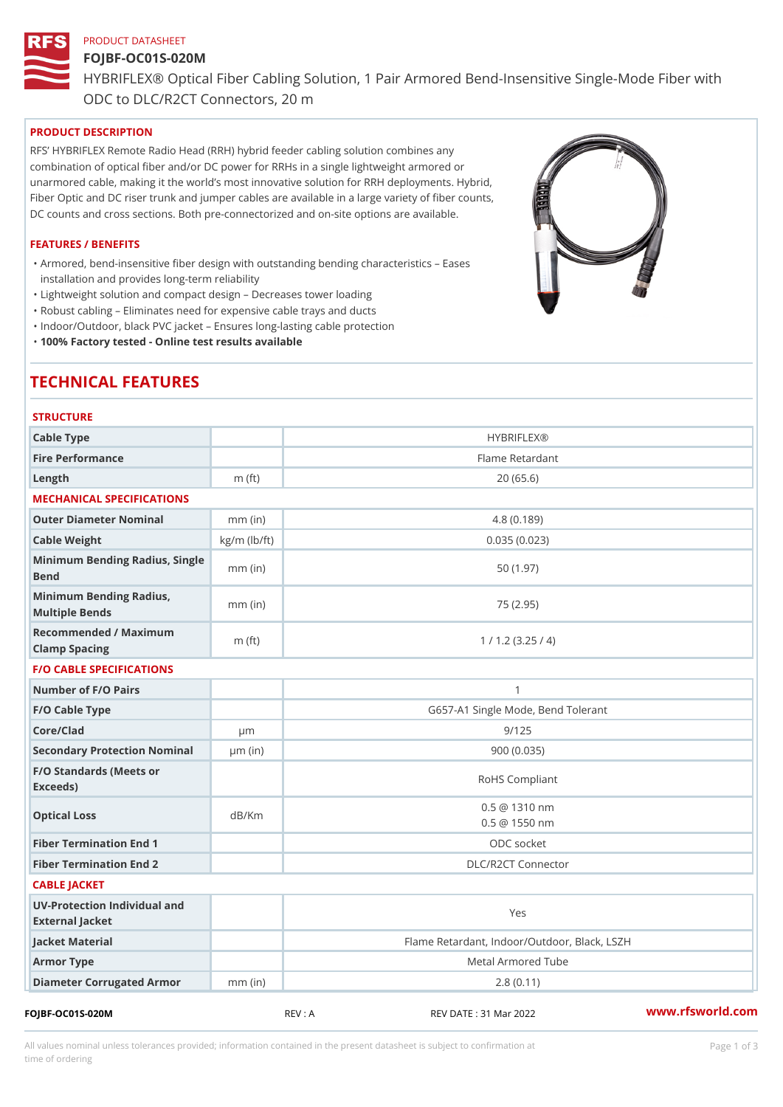# PRODUCT DATASHEET

# FOJBF-OC01S-020M

HYBRIFLEX® Optical Fiber Cabling Solution, 1 Pair Armored Bend-Inse ODC to DLC/R2CT Connectors, 20 m

PRODUCT DESCRIPTION

RFS HYBRIFLEX Remote Radio Head (RRH) hybrid feeder cabling solution combines any combination of optical fiber and/or DC power for RRHs in a single lightweight armored or unarmored cable, making it the world s most innovative solution for RRH deployments. Hybrid, Fiber Optic and DC riser trunk and jumper cables are available in a large variety of fiber counts, DC counts and cross sections. Both pre-connectorized and on-site options are available.

#### FEATURES / BENEFITS

Armored, bend-insensitive fiber design with outstanding bending characteristics Eases " installation and provides long-term reliability

"Lightweight solution and compact design Decreases tower loading

"Robust cabling Eliminates need for expensive cable trays and ducts

"Indoor/Outdoor, black PVC jacket Ensures long-lasting cable protection

"100% Factory tested - Online test results available

# TECHNICAL FEATURES

| <b>STRUCTURE</b>                                  |                    |                                                |
|---------------------------------------------------|--------------------|------------------------------------------------|
| Cable Type                                        |                    | <b>HYBRIFLEX®</b>                              |
| Fire Performance                                  |                    | Flame Retardant                                |
| Length                                            | m $(ft)$           | 20(65.6)                                       |
| MECHANICAL SPECIFICATIONS                         |                    |                                                |
| Outer Diameter Nominal                            | $mm$ (in)          | 4.8(0.189)                                     |
| Cable Weight                                      | $kg/m$ ( $lb/ft$ ) | 0.035(0.023)                                   |
| Minimum Bending Radius, Single<br>mm (in)<br>Bend |                    | 50(1.97)                                       |
| Minimum Bending Radius, mm (in)<br>Multiple Bends |                    | 75 (2.95)                                      |
| Recommended / Maximum<br>Clamp Spacing            | $m$ (ft)           | 1 / 1.2 (3.25 / 4)                             |
| <b>F/O CABLE SPECIFICATIONS</b>                   |                    |                                                |
| Number of F/O Pairs                               |                    | $\mathbf{1}$                                   |
| F/O Cable Type                                    |                    | G657-A1 Single Mode, Bend Tolerant             |
| Core/Clad                                         | $\mu$ m            | 9/125                                          |
| Secondary Protection Nomumal(in)                  |                    | 900 (0.035)                                    |
| F/O Standards (Meets or<br>Exceeds)               |                    | RoHS Compliant                                 |
| Optical Loss                                      | dB/Km              | $0.5 \ @ \ 1310 \ nm$<br>$0.5 \ @ \ 1550 \ nm$ |
| Fiber Termination End                             |                    | ODC socket                                     |
| Fiber Termination End 2                           |                    | DLC/R2CT Connector                             |
| CABLE JACKET                                      |                    |                                                |
| UV-Protection Individual and<br>External Jacket   |                    | Yes                                            |
| Jacket Material                                   |                    | Flame Retardant, Indoor/Outdoor, Black, LSZH   |
| Armor Type                                        |                    | Metal Armored Tube                             |
| Diameter Corrugated Armomm (in)                   |                    | 2.8(0.11)                                      |
|                                                   |                    | $\sim$ $\sim$                                  |

FOJBF-OC01S-020M REV : A REV DATE : 31 Mar 2022 [www.](https://www.rfsworld.com)rfsworld.com

All values nominal unless tolerances provided; information contained in the present datasheet is subject to Pcapgeign mation time of ordering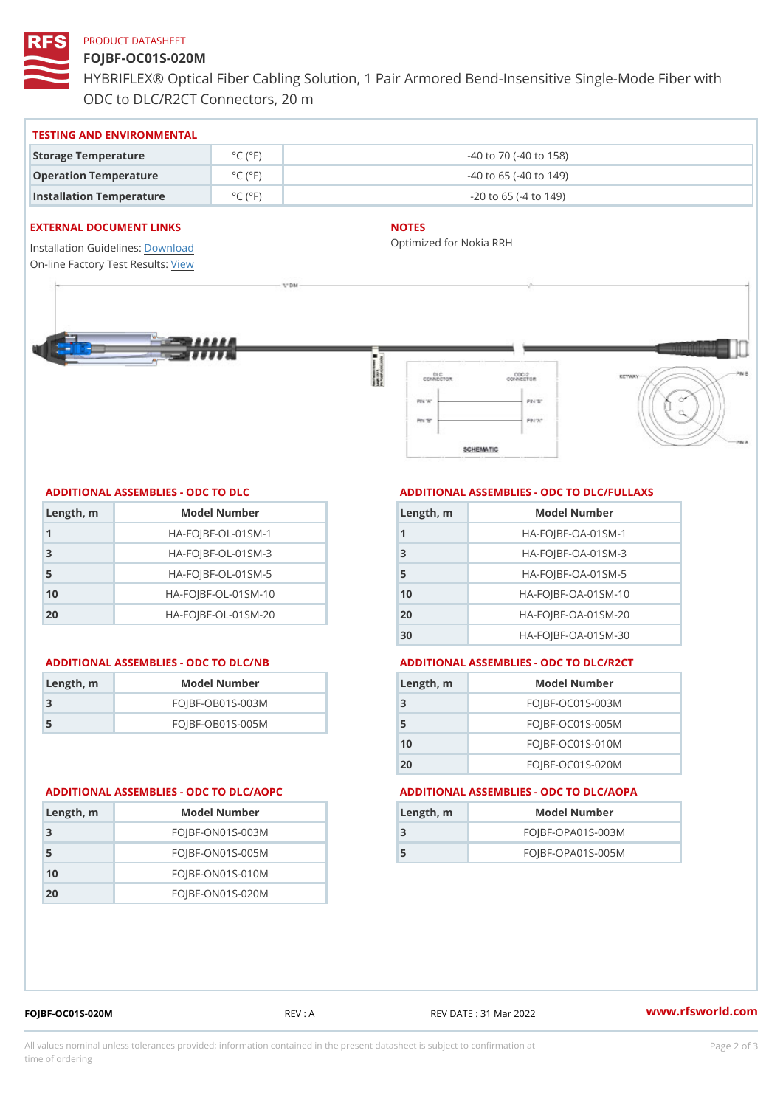# PRODUCT DATASHEET

# FOJBF-OC01S-020M

HYBRIFLEX® Optical Fiber Cabling Solution, 1 Pair Armored Bend-Inse ODC to DLC/R2CT Connectors, 20 m

#### TESTING AND ENVIRONMENTAL

| Storage Temperature              | $^{\circ}$ C ( $^{\circ}$ F $\vert$ | $-40$ to $70$ ( $-40$ to $158$ ) |
|----------------------------------|-------------------------------------|----------------------------------|
| Operation Temperature            | $^{\circ}$ C ( $^{\circ}$ F $\vert$ | $-40$ to 65 ( $-40$ to 149)      |
| Installation Temperature °C (°F) |                                     | $-20$ to 65 ( $-4$ to 149)       |

## EXTERNAL DOCUMENT LINKS

Installation Guidelwinessad On-line Factory Te[s](https://www.rfsworld.com/pictures/userfiles/programs/AAST Latest Version.zip)teResults:

# NOTES

Optimized for Nokia RRH

### ADDITIONAL ASSEMBLIES - ODC TO DLC

| Length, m | Model Number                   |
|-----------|--------------------------------|
| 1         | $HA - FOJBF - OL - 01SM - 1$   |
| -3        | $HA - FOJBF - OL - 01SM - 3$   |
| 5         | $HA - FOJBF - OL - 01SM - 5$   |
| 10        | $HA - FOJBF - O L - 01SM - 10$ |
| 20        | $HA-FOJBF-OL-01SM-20$          |

#### ADDITIONAL ASSEMBLIES - ODC TO DLC/NB ADDITIONAL ASSEMBLIES - ODC TO DLC/R2CT

| Length, rn | Model Number       |
|------------|--------------------|
| -3         | $FOJBF-OBO1S-OO3M$ |
| -5         | $FOJBF-OBO1S-OO5M$ |

# ADDITIONAL ASSEMBLIES - ODC TO DLC/FULLAXS

| Length, m | Model Number                  |
|-----------|-------------------------------|
|           | $HA - FOJBF - OA - 01SM - 1$  |
| 3         | $HA - FOJBF - OA - 01SM - B$  |
| 5         | $HA - FOJBF - OA - 01SM - 5$  |
| 10        | $HA - FOJBF - OA - 01SM - 10$ |
| 20        | $HA - FOJBF - OA - 01SM - 20$ |
| 30        | HA-FOJBF-OA-01SM-30           |

| Length, m | Model Number       |
|-----------|--------------------|
| -3        | $FOJBF-OCO1S-OO3M$ |
| 5         | $FOJBF-OCO1S-OO5M$ |
| 10        | $FOJBF-OCO1S-010M$ |
| 20        | $FOJBF-OCO1S-020M$ |

#### ADDITIONAL ASSEMBLIES - ODC TO DLC/AOPC ADDITIONAL ASSEMBLIES - ODC TO DLC/AOPA

| Length, m | Model Number        |
|-----------|---------------------|
|           | $FOJBF-OPAO1S-003M$ |
| 5         | $FOJBF-OPAO1S-005M$ |

| Length, m | Model Number       |
|-----------|--------------------|
| 3         | $FOJBF-ONO1S-003M$ |
| -5        | $FOJBF-ONO1S-OO5M$ |
| 10        | $FOJBF-ON01S-010M$ |
| 20        | $FOJBF-ONO1S-020M$ |

FOJBF-OC01S-020M REV : A REV DATE : 31 Mar 2022 [www.](https://www.rfsworld.com)rfsworld.com

All values nominal unless tolerances provided; information contained in the present datasheet is subject to Pcapgelio an atio time of ordering